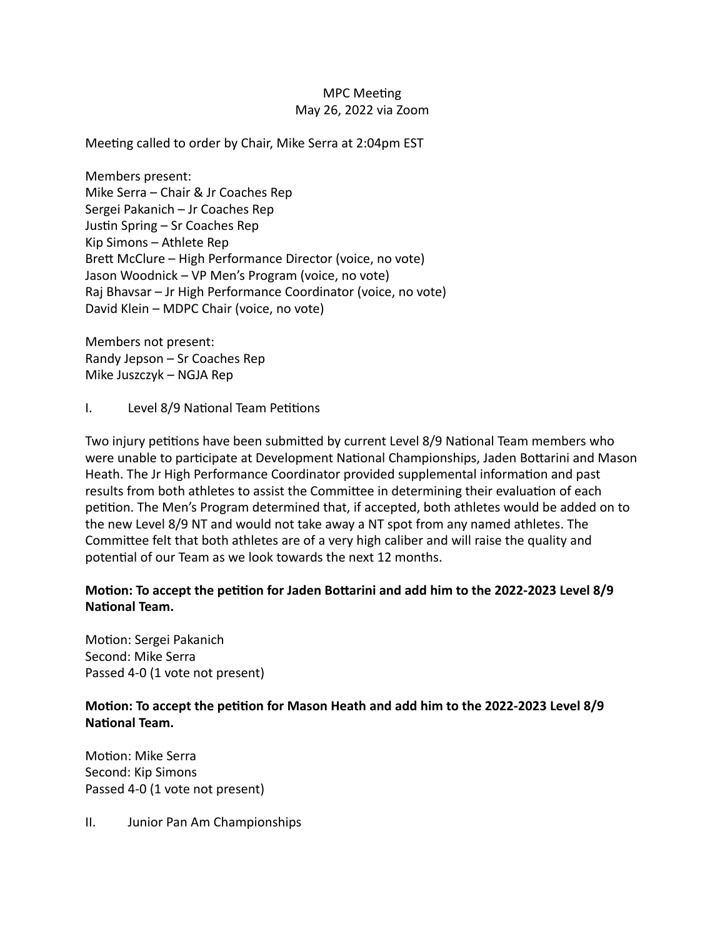## **MPC** Meeting May 26, 2022 via Zoom

Meeting called to order by Chair, Mike Serra at 2:04pm EST

Members present: Mike Serra – Chair & Jr Coaches Rep Sergei Pakanich – Jr Coaches Rep Justin Spring  $-$  Sr Coaches Rep Kip Simons – Athlete Rep Brett McClure - High Performance Director (voice, no vote) Jason Woodnick – VP Men's Program (voice, no vote) Raj Bhavsar – Jr High Performance Coordinator (voice, no vote) David Klein – MDPC Chair (voice, no vote)

Members not present: Randy Jepson  $-$  Sr Coaches Rep Mike Juszczyk – NGJA Rep

I. Level 8/9 National Team Petitions

Two injury petitions have been submitted by current Level 8/9 National Team members who were unable to participate at Development National Championships, Jaden Bottarini and Mason Heath. The Jr High Performance Coordinator provided supplemental information and past results from both athletes to assist the Committee in determining their evaluation of each petition. The Men's Program determined that, if accepted, both athletes would be added on to the new Level 8/9 NT and would not take away a NT spot from any named athletes. The Committee felt that both athletes are of a very high caliber and will raise the quality and potential of our Team as we look towards the next 12 months.

## Motion: To accept the petition for Jaden Bottarini and add him to the 2022-2023 Level 8/9 **National Team.**

Motion: Sergei Pakanich Second: Mike Serra Passed 4-0 (1 vote not present)

## **Motion: To accept the petition for Mason Heath and add him to the 2022-2023 Level 8/9 National Team.**

Motion: Mike Serra Second: Kip Simons Passed 4-0 (1 vote not present)

II. Junior Pan Am Championships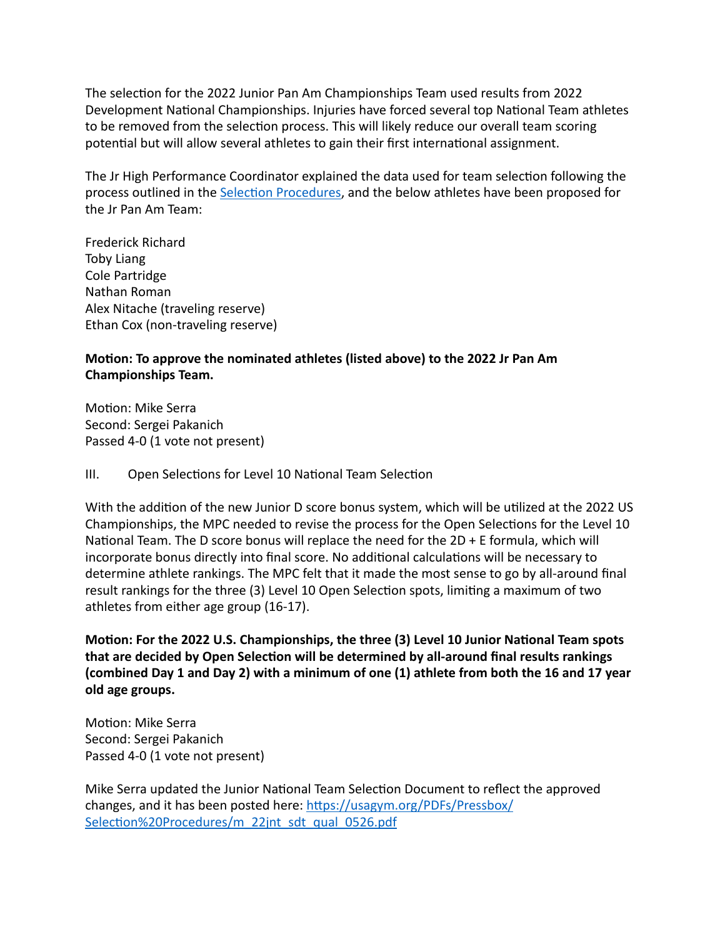The selection for the 2022 Junior Pan Am Championships Team used results from 2022 Development National Championships. Injuries have forced several top National Team athletes to be removed from the selection process. This will likely reduce our overall team scoring potential but will allow several athletes to gain their first international assignment.

The Jr High Performance Coordinator explained the data used for team selection following the process outlined in the Selection Procedures, and the below athletes have been proposed for the Jr Pan Am Team:

Frederick Richard Toby Liang Cole Partridge Nathan Roman Alex Nitache (traveling reserve) Ethan Cox (non-traveling reserve)

## **Motion: To approve the nominated athletes (listed above) to the 2022 Jr Pan Am Championships Team.**

Motion: Mike Serra Second: Sergei Pakanich Passed 4-0 (1 vote not present)

III. Open Selections for Level 10 National Team Selection

With the addition of the new Junior D score bonus system, which will be utilized at the 2022 US Championships, the MPC needed to revise the process for the Open Selections for the Level 10 National Team. The D score bonus will replace the need for the  $2D + E$  formula, which will incorporate bonus directly into final score. No additional calculations will be necessary to determine athlete rankings. The MPC felt that it made the most sense to go by all-around final result rankings for the three (3) Level 10 Open Selection spots, limiting a maximum of two athletes from either age group (16-17).

Motion: For the 2022 U.S. Championships, the three (3) Level 10 Junior National Team spots that are decided by Open Selection will be determined by all-around final results rankings **(combined Day 1 and Day 2) with a minimum of one (1) athlete from both the 16 and 17 year old age groups.** 

Motion: Mike Serra Second: Sergei Pakanich Passed 4-0 (1 vote not present)

Mike Serra updated the Junior National Team Selection Document to reflect the approved changes, and it has been posted here: https://usagym.org/PDFs/Pressbox/ Selection%20Procedures/m\_22jnt\_sdt\_qual\_0526.pdf